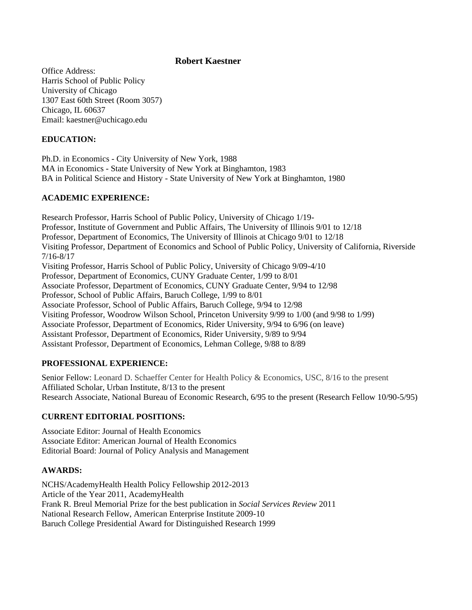Office Address: Harris School of Public Policy University of Chicago 1307 East 60th Street (Room 3057) Chicago, IL 60637 Email: kaestner@uchicago.edu

### **EDUCATION:**

Ph.D. in Economics - City University of New York, 1988 MA in Economics - State University of New York at Binghamton, 1983 BA in Political Science and History - State University of New York at Binghamton, 1980

# **ACADEMIC EXPERIENCE:**

Research Professor, Harris School of Public Policy, University of Chicago 1/19- Professor, Institute of Government and Public Affairs, The University of Illinois 9/01 to 12/18 Professor, Department of Economics, The University of Illinois at Chicago 9/01 to 12/18 Visiting Professor, Department of Economics and School of Public Policy, University of California, Riverside 7/16-8/17 Visiting Professor, Harris School of Public Policy, University of Chicago 9/09-4/10 Professor, Department of Economics, CUNY Graduate Center, 1/99 to 8/01 Associate Professor, Department of Economics, CUNY Graduate Center, 9/94 to 12/98 Professor, School of Public Affairs, Baruch College, 1/99 to 8/01 Associate Professor, School of Public Affairs, Baruch College, 9/94 to 12/98 Visiting Professor, Woodrow Wilson School, Princeton University 9/99 to 1/00 (and 9/98 to 1/99) Associate Professor, Department of Economics, Rider University, 9/94 to 6/96 (on leave) Assistant Professor, Department of Economics, Rider University, 9/89 to 9/94 Assistant Professor, Department of Economics, Lehman College, 9/88 to 8/89

### **PROFESSIONAL EXPERIENCE:**

Senior Fellow: Leonard D. Schaeffer Center for Health Policy & Economics, USC, 8/16 to the present Affiliated Scholar, Urban Institute, 8/13 to the present Research Associate, National Bureau of Economic Research, 6/95 to the present (Research Fellow 10/90-5/95)

### **CURRENT EDITORIAL POSITIONS:**

Associate Editor: Journal of Health Economics Associate Editor: American Journal of Health Economics Editorial Board: Journal of Policy Analysis and Management

### **AWARDS:**

NCHS/AcademyHealth Health Policy Fellowship 2012-2013 Article of the Year 2011, AcademyHealth Frank R. Breul Memorial Prize for the best publication in *Social Services Review* 2011 National Research Fellow, American Enterprise Institute 2009-10 Baruch College Presidential Award for Distinguished Research 1999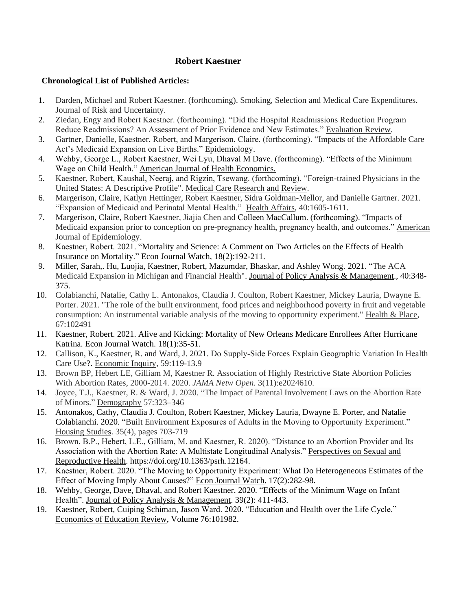- 1. Darden, Michael and Robert Kaestner. (forthcoming). Smoking, Selection and Medical Care Expenditures. Journal of Risk and Uncertainty.
- 2. Ziedan, Engy and Robert Kaestner. (forthcoming). "Did the Hospital Readmissions Reduction Program Reduce Readmissions? An Assessment of Prior Evidence and New Estimates." Evaluation Review.
- 3. Gartner, Danielle, Kaestner, Robert, and Margerison, Claire. (forthcoming). "Impacts of the Affordable Care Act's Medicaid Expansion on Live Births." Epidemiology.
- 4. Wehby, George L., Robert Kaestner, Wei Lyu, Dhaval M Dave. (forthcoming). "Effects of the Minimum Wage on Child Health." American Journal of Health Economics.
- 5. Kaestner, Robert, Kaushal, Neeraj, and Rigzin, Tsewang. (forthcoming). "Foreign-trained Physicians in the United States: A Descriptive Profile". Medical Care Research and Review.
- 6. Margerison, Claire, Katlyn Hettinger, Robert Kaestner, Sidra Goldman-Mellor, and Danielle Gartner. 2021. "Expansion of Medicaid and Perinatal Mental Health." Health Affairs, 40:1605-1611.
- 7. Margerison, Claire, Robert Kaestner, Jiajia Chen and Colleen MacCallum. (forthcoming). "Impacts of Medicaid expansion prior to conception on pre-pregnancy health, pregnancy health, and outcomes." American Journal of Epidemiology.
- 8. Kaestner, Robert. 2021. "Mortality and Science: A Comment on Two Articles on the Effects of Health Insurance on Mortality." Econ Journal Watch, 18(2):192-211.
- 9. Miller, Sarah,. Hu, Luojia, Kaestner, Robert, Mazumdar, Bhaskar, and Ashley Wong. 2021. "The ACA Medicaid Expansion in Michigan and Financial Health". Journal of Policy Analysis & Management., 40:348- 375.
- 10. Colabianchi, Natalie, Cathy L. Antonakos, Claudia J. Coulton, Robert Kaestner, Mickey Lauria, Dwayne E. Porter. 2021. "The role of the built environment, food prices and neighborhood poverty in fruit and vegetable consumption: An instrumental variable analysis of the moving to opportunity experiment." Health & Place, 67:102491
- 11. Kaestner, Robert. 2021. Alive and Kicking: Mortality of New Orleans Medicare Enrollees After Hurricane Katrina. Econ Journal Watch. 18(1):35-51.
- 12. Callison, K., Kaestner, R. and Ward, J. 2021. Do Supply‐Side Forces Explain Geographic Variation In Health Care Use?. Economic Inquiry, 59:119-13.9
- 13. Brown BP, Hebert LE, Gilliam M, Kaestner R. Association of Highly Restrictive State Abortion Policies With Abortion Rates, 2000-2014. 2020. *JAMA Netw Open.* 3(11):e2024610.
- 14. Joyce, T.J., Kaestner, R. & Ward, J. 2020. "The Impact of Parental Involvement Laws on the Abortion Rate of Minors." Demography 57:323–346
- 15. Antonakos, Cathy, Claudia J. Coulton, Robert Kaestner, Mickey Lauria, Dwayne E. Porter, and Natalie Colabianchi. 2020. "Built Environment Exposures of Adults in the Moving to Opportunity Experiment." Housing Studies. 35(4), pages 703-719
- 16. Brown, B.P., Hebert, L.E., Gilliam, M. and Kaestner, R. 2020). "Distance to an Abortion Provider and Its Association with the Abortion Rate: A Multistate Longitudinal Analysis." Perspectives on Sexual and Reproductive Health. [https://doi.org/10.1363/psrh.12164.](https://doi.org/10.1363/psrh.12164)
- 17. Kaestner, Robert. 2020. "The Moving to Opportunity Experiment: What Do Heterogeneous Estimates of the Effect of Moving Imply About Causes?" Econ Journal Watch. 17(2):282-98.
- 18. Wehby, George, Dave, Dhaval, and Robert Kaestner. 2020. "Effects of the Minimum Wage on Infant Health". Journal of Policy Analysis & Management. 39(2): 411-443.
- 19. Kaestner, Robert, Cuiping Schiman, Jason Ward. 2020. "Education and Health over the Life Cycle." Economics of Education Review, Volume 76:101982.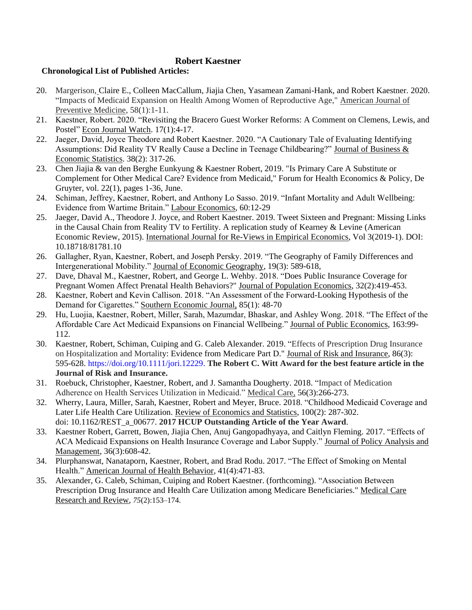- 20. Margerison, Claire E., Colleen MacCallum, Jiajia Chen, Yasamean Zamani-Hank, and Robert Kaestner. 2020. "Impacts of Medicaid Expansion on Health Among Women of Reproductive Age," American Journal of Preventive Medicine, 58(1):1-11.
- 21. Kaestner, Robert. 2020. "Revisiting the Bracero Guest Worker Reforms: A Comment on Clemens, Lewis, and Postel" Econ Journal Watch. 17(1):4-17.
- 22. Jaeger, David, Joyce Theodore and Robert Kaestner. 2020. "A Cautionary Tale of Evaluating Identifying Assumptions: Did Reality TV Really Cause a Decline in Teenage Childbearing?" Journal of Business & Economic Statistics. 38(2): 317-26.
- 23. Chen Jiajia & van den Berghe Eunkyung & Kaestner Robert, 2019. ["Is Primary Care A Substitute or](https://ideas.repec.org/a/bpj/fhecpo/v22y2019i1p36n2.html)  [Complement for Other Medical Care? Evidence from Medicaid,](https://ideas.repec.org/a/bpj/fhecpo/v22y2019i1p36n2.html)" [Forum for Health Economics & Policy,](https://ideas.repec.org/s/bpj/fhecpo.html) De Gruyter, vol. 22(1), pages 1-36, June.
- 24. Schiman, Jeffrey, Kaestner, Robert, and Anthony Lo Sasso. 2019. "Infant Mortality and Adult Wellbeing: Evidence from Wartime Britain." Labour Economics, 60:12-29
- 25. Jaeger, David A., Theodore J. Joyce, and Robert Kaestner. 2019. Tweet Sixteen and Pregnant: Missing Links in the Causal Chain from Reality TV to Fertility. A replication study of Kearney & Levine (American Economic Review, 2015). International Journal for Re-Views in Empirical Economics, Vol 3(2019-1). DOI: 10.18718/81781.10
- 26. Gallagher, Ryan, Kaestner, Robert, and Joseph Persky. 2019. "The Geography of Family Differences and Intergenerational Mobility." Journal of Economic Geography, 19(3): 589-618,
- 27. Dave, [Dhaval M., Kaestner, Robert, and](http://www.nber.org/people/Dhaval_Dave) [George L. Wehby.](http://www.nber.org/people/george_wehby) 2018. "Does Public Insurance Coverage for Pregnant Women Affect Prenatal Health Behaviors?" Journal of Population Economics, 32(2):419-453.
- 28. Kaestner, Robert and Kevin Callison. 2018. "An Assessment of the Forward-Looking Hypothesis of the Demand for Cigarettes." Southern Economic Journal, 85(1): 48-70
- 29. Hu, Luojia, Kaestner, Robert, Miller, Sarah, Mazumdar, Bhaskar, and Ashley Wong. 2018. "The Effect of the Affordable Care Act Medicaid Expansions on Financial Wellbeing." Journal of Public Economics, 163:99- 112.
- 30. Kaestner, Robert, Schiman, Cuiping and G. Caleb Alexander. 2019. "Effects of Prescription Drug Insurance on Hospitalization and Mortality: Evidence from Medicare Part D." Journal of Risk and Insurance, 86(3): 595-628. [https://doi.org/10.1111/jori.12229.](https://doi.org/10.1111/jori.12229) **The Robert C. Witt Award for the best feature article in the Journal of Risk and Insurance.**
- 31. Roebuck, Christopher, Kaestner, Robert, and J. Samantha Dougherty. 2018. "Impact of Medication Adherence on Health Services Utilization in Medicaid." Medical Care, 56(3):266-273.
- 32. Wherry, Laura, Miller, Sarah, Kaestner, Robert and Meyer, Bruce. 2018. "Childhood Medicaid Coverage and Later Life Health Care Utilization. Review of Economics and Statistics, 100(2): 287-302. doi: [10.1162/REST\\_a\\_00677.](http://dx.doi.org/10.1162/REST_a_00677) **2017 HCUP Outstanding Article of the Year Award**.
- 33. Kaestner Robert, Garrett, Bowen, Jiajia Chen, Anuj Gangopadhyaya, and Caitlyn Fleming. 2017. "Effects of ACA Medicaid Expansions on Health Insurance Coverage and Labor Supply." Journal of Policy Analysis and Management, 36(3):608-42.
- 34. Plurphanswat, Nanataporn, Kaestner, Robert, and Brad Rodu. 2017. "The Effect of Smoking on Mental Health." American Journal of Health Behavior, 41(4):471-83.
- 35. Alexander, G. Caleb, Schiman, Cuiping and Robert Kaestner. (forthcoming). "Association Between Prescription Drug Insurance and Health Care Utilization among Medicare Beneficiaries." Medical Care Research and Review, *75*(2):153–174.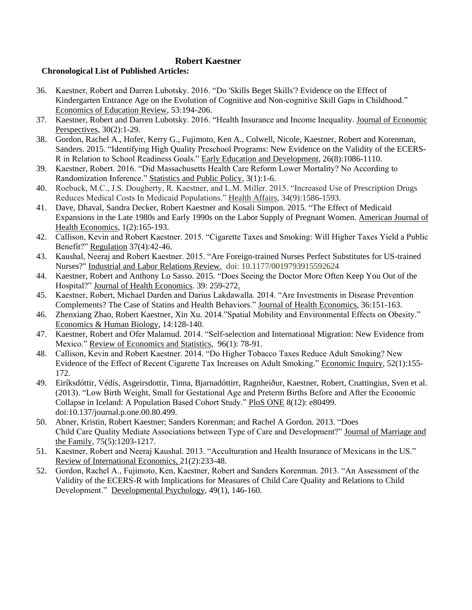- 36. Kaestner, Robert and Darren Lubotsky. 2016. "Do 'Skills Beget Skills'? Evidence on the Effect of Kindergarten Entrance Age on the Evolution of Cognitive and Non-cognitive Skill Gaps in Childhood." Economics of Education Review, 53:194-206.
- 37. Kaestner, Robert and Darren Lubotsky. 2016. "Health Insurance and Income Inequality. Journal of Economic Perspectives, 30(2):1-29.
- 38. Gordon, Rachel A., Hofer, Kerry G., Fujimoto, Ken A., Colwell, Nicole, Kaestner, Robert and Korenman, Sanders. 2015. "Identifying High Quality Preschool Programs: New Evidence on the Validity of the ECERS-R in Relation to School Readiness Goals." Early Education and Development, 26(8):1086-1110.
- 39. Kaestner, Robert. 2016. "Did Massachusetts Health Care Reform Lower Mortality? No According to Randomization Inference." Statistics and Public Policy, 3(1):1-6.
- 40. Roebuck, M.C., J.S. Dougherty, R. Kaestner, and L.M. Miller. 2015. "Increased Use of Prescription Drugs Reduces Medical Costs In Medicaid Populations." Health Affairs, 34(9):1586-1593.
- 41. Dave, Dhaval, Sandra Decker, Robert Kaestner and Kosali Simpon. 2015. "The Effect of Medicaid Expansions in the Late 1980s and Early 1990s on the Labor Supply of Pregnant Women. American Journal of Health Economics, 1(2):165-193.
- 42. Callison, Kevin and Robert Kaestner. 2015. "Cigarette Taxes and Smoking: Will Higher Taxes Yield a Public Benefit?" Regulation 37(4):42-46.
- 43. Kaushal, Neeraj and Robert Kaestner. 2015. "Are Foreign-trained Nurses Perfect Substitutes for US-trained Nurses?" Industrial and Labor Relations Review. doi: 10.1177/0019793915592624
- 44. Kaestner, Robert and Anthony Lo Sasso. 2015. "Does Seeing the Doctor More Often Keep You Out of the Hospital?" Journal of Health Economics. 39: 259-272.
- 45. Kaestner, Robert, Michael Darden and Darius Lakdawalla. 2014. "Are Investments in Disease Prevention Complements? The Case of Statins and Health Behaviors." Journal of Health Economics, 36:151-163.
- 46. Zhenxiang Zhao, Robert Kaestner, Xin Xu. 2014."Spatial Mobility and Environmental Effects on Obesity." Economics & Human Biology, 14:128-140.
- 47. Kaestner, Robert and Ofer Malamud. 2014. "Self-selection and International Migration: New Evidence from Mexico." Review of Economics and Statistics, 96(1): 78-91.
- 48. Callison, Kevin and Robert Kaestner. 2014. "Do Higher Tobacco Taxes Reduce Adult Smoking? New Evidence of the Effect of Recent Cigarette Tax Increases on Adult Smoking." Economic Inquiry, 52(1):155- 172.
- 49. [Eiríksdóttir,](https://plus.google.com/u/0/111356053391927189144?prsrc=4) Védís, Asgeirsdottir, Tinna, Bjarnadóttirr, Ragnheiður, Kaestner, Robert, Cnattingius, Sven et al. (2013). "Low Birth Weight, Small for Gestational Age and Preterm Births Before and After the Economic Collapse in Iceland: A Population Based Cohort Study." PloS ONE 8(12): e80499. doi:10.137/journal.p.one.00.80.499.
- 50. Abner, Kristin, Robert Kaestner; Sanders Korenman; and Rachel A Gordon. 2013. "Does Child Care Quality Mediate Associations between Type of Care and Development?" Journal of Marriage and the Family, 75(5):1203-1217.
- 51. Kaestner, Robert and Neeraj Kaushal. 2013. "Acculturation and Health Insurance of Mexicans in the US." Review of International Economics, 21(2):233-48.
- 52. Gordon, Rachel A., Fujimoto, Ken, Kaestner, Robert and Sanders Korenman. 2013. "An Assessment of the Validity of the ECERS-R with Implications for Measures of Child Care Quality and Relations to Child Development." Developmental Psychology, 49(1), 146-160.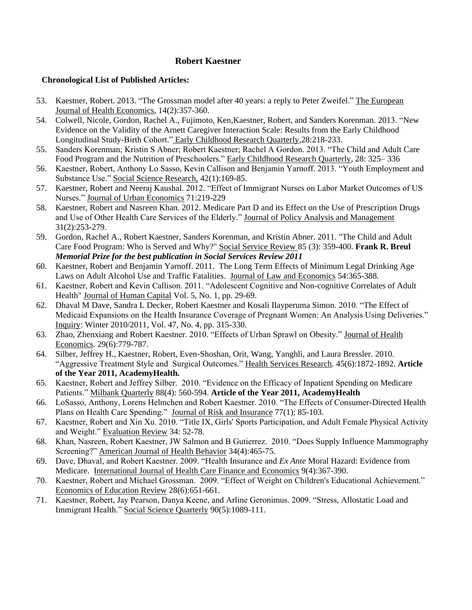- 53. Kaestner, Robert. 2013. "The Grossman model after 40 years: a reply to Peter Zweifel." The European Journal of Health Economics, 14(2):357-360.
- 54. Colwell, Nicole, Gordon, Rachel A., Fujimoto, Ken,Kaestner, Robert, and Sanders Korenman. 2013. "New Evidence on the Validity of the Arnett Caregiver Interaction Scale: Results from the Early Childhood Longitudinal Study-Birth Cohort." Early Childhood Research Quarterly,28:218-233.
- 55. Sanders Korenman; Kristin S Abner; Robert Kaestner; Rachel A Gordon. 2013. "The Child and Adult Care Food Program and the Nutrition of Preschoolers." Early Childhood Research Quarterly, 28: 325– 336
- 56. Kaestner, Robert, Anthony Lo Sasso, Kevin Callison and Benjamin Yarnoff. 2013. "Youth Employment and Substance Use." Social Science Research, 42(1):169-85.
- 57. Kaestner, Robert and Neeraj Kaushal. 2012. "Effect of Immigrant Nurses on Labor Market Outcomes of US Nurses." Journal of Urban Economics 71:219-229
- 58. Kaestner, Robert and Nasreen Khan. 2012. Medicare Part D and its Effect on the Use of Prescription Drugs and Use of Other Health Care Services of the Elderly." Journal of Policy Analysis and Management 31(2):253-279.
- 59. Gordon, Rachel A., Robert Kaestner, Sanders Korenman, and Kristin Abner. 2011. "The Child and Adult Care Food Program: Who is Served and Why?" Social Service Review 85 (3): 359-400. **Frank R. Breul**  *Memorial Prize for the best publication in Social Services Review 2011*
- 60. Kaestner, Robert and Benjamin Yarnoff. 2011. The Long Term Effects of Minimum Legal Drinking Age Laws on Adult Alcohol Use and Traffic Fatalities. Journal of Law and Economics 54:365-388.
- 61. Kaestner, Robert and Kevin Callison. 2011. "Adolescent Cognitive and Non-cognitive Correlates of Adult Health" Journal of Human Capital Vol. 5, No. 1, pp. 29-69.
- 62. Dhaval M Dave, Sandra L Decker, Robert Kaestner and Kosali Ilayperuma Simon. 2010. "The Effect of Medicaid Expansions on the Health Insurance Coverage of Pregnant Women: An Analysis Using Deliveries." Inquiry: Winter 2010/2011, Vol. 47, No. 4, pp. 315-330.
- 63. Zhao, Zhenxiang and Robert Kaestner. 2010. "Effects of Urban Sprawl on Obesity." Journal of Health Economics. 29(6):779-787.
- 64. Silber, Jeffrey H., Kaestner, Robert, Even-Shoshan, Orit, Wang, Yanghli, and Laura Bressler. 2010. "Aggressive Treatment Style and Surgical Outcomes." Health Services Research. 45(6):1872-1892. **Article of the Year 2011, AcademyHealth***.*
- 65. Kaestner, Robert and Jeffrey Silber. 2010. "Evidence on the Efficacy of Inpatient Spending on Medicare Patients." Milbank Quarterly 88(4): 560-594. **Article of the Year 2011, AcademyHealth**
- 66. LoSasso, Anthony, Lorens Helmchen and Robert Kaestner. 2010. "The Effects of Consumer-Directed Health Plans on Health Care Spending." Journal of Risk and Insurance 77(1); 85-103.
- 67. Kaestner, Robert and Xin Xu. 2010. "Title IX, Girls' Sports Participation, and Adult Female Physical Activity and Weight." Evaluation Review 34: 52-78.
- 68. Khan, Nasreen, Robert Kaestner, JW Salmon and B Gutierrez. 2010. "Does Supply Influence Mammography Screening?" American Journal of Health Behavior 34(4):465-75.
- 69. Dave, Dhaval, and Robert Kaestner. 2009. "Health Insurance and *Ex Ante* Moral Hazard: Evidence from Medicare. International Journal of Health Care Finance and Economics 9(4):367-390.
- 70. Kaestner, Robert and Michael Grossman. 2009. "Effect of Weight on Children's Educational Achievement." Economics of Education Review 28(6):651-661.
- 71. Kaestner, Robert, Jay Pearson, Danya Keene, and Arline Geronimus. 2009. "Stress, Allostatic Load and Immigrant Health." Social Science Quarterly 90(5):1089-111.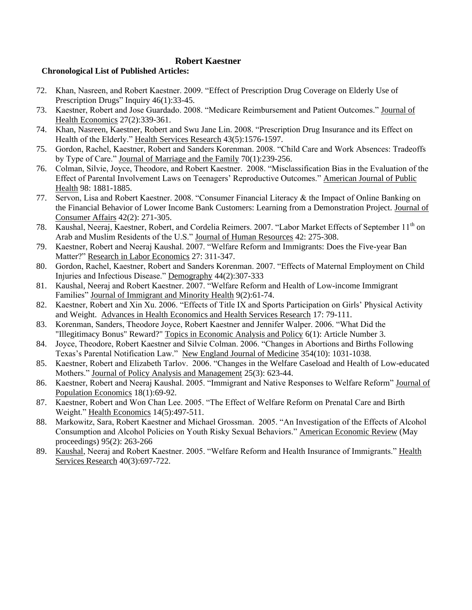- 72. Khan, Nasreen, and Robert Kaestner. 2009. "Effect of Prescription Drug Coverage on Elderly Use of Prescription Drugs" Inquiry 46(1):33-45.
- 73. Kaestner, Robert and Jose Guardado. 2008. "Medicare Reimbursement and Patient Outcomes." Journal of Health Economics 27(2):339-361.
- 74. Khan, Nasreen, Kaestner, Robert and Swu Jane Lin. 2008. "Prescription Drug Insurance and its Effect on Health of the Elderly." Health Services Research 43(5):1576-1597.
- 75. Gordon, Rachel, Kaestner, Robert and Sanders Korenman. 2008. "Child Care and Work Absences: Tradeoffs by Type of Care." Journal of Marriage and the Family 70(1):239-256.
- 76. Colman, Silvie, Joyce, Theodore, and Robert Kaestner. 2008. "Misclassification Bias in the Evaluation of the Effect of Parental Involvement Laws on Teenagers' Reproductive Outcomes." American Journal of Public Health 98: 1881-1885.
- 77. Servon, Lisa and Robert Kaestner. 2008. "Consumer Financial Literacy & the Impact of Online Banking on the Financial Behavior of Lower Income Bank Customers: Learning from a Demonstration Project. Journal of Consumer Affairs 42(2): 271-305.
- 78. Kaushal, Neeraj, Kaestner, Robert, and Cordelia Reimers. 2007. "Labor Market Effects of September 11<sup>th</sup> on Arab and Muslim Residents of the U.S." Journal of Human Resources 42: 275-308.
- 79. Kaestner, Robert and Neeraj Kaushal. 2007. "Welfare Reform and Immigrants: Does the Five-year Ban Matter?" Research in Labor Economics 27: 311-347.
- 80. Gordon, Rachel, Kaestner, Robert and Sanders Korenman. 2007. "Effects of Maternal Employment on Child Injuries and Infectious Disease." Demography 44(2):307-333
- 81. Kaushal, Neeraj and Robert Kaestner. 2007. "Welfare Reform and Health of Low-income Immigrant Families" Journal of Immigrant and Minority Health 9(2):61-74.
- 82. Kaestner, Robert and Xin Xu. 2006. "Effects of Title IX and Sports Participation on Girls' Physical Activity and Weight. Advances in Health Economics and Health Services Research 17: 79-111.
- 83. Korenman, Sanders, Theodore Joyce, Robert Kaestner and Jennifer Walper. 2006. "What Did the "Illegitimacy Bonus" Reward?" Topics in Economic Analysis and Policy 6(1): Article Number 3.
- 84. Joyce, Theodore, Robert Kaestner and Silvie Colman. 2006. "Changes in Abortions and Births Following Texas's Parental Notification Law." New England Journal of Medicine 354(10): 1031-1038.
- 85. Kaestner, Robert and Elizabeth Tarlov. 2006. "Changes in the Welfare Caseload and Health of Low-educated Mothers." Journal of Policy Analysis and Management 25(3): 623-44.
- 86. Kaestner, Robert and Neeraj Kaushal. 2005. "Immigrant and Native Responses to Welfare Reform" Journal of Population Economics 18(1):69-92.
- 87. Kaestner, Robert and Won Chan Lee. 2005. "The Effect of Welfare Reform on Prenatal Care and Birth Weight." Health Economics 14(5):497-511.
- 88. Markowitz, Sara, Robert Kaestner and Michael Grossman. 2005. "An Investigation of the Effects of Alcohol Consumption and Alcohol Policies on Youth Risky Sexual Behaviors." American Economic Review (May proceedings) 95(2): 263-266
- 89. Kaushal, Neeraj and Robert Kaestner. 2005. "Welfare Reform and Health Insurance of Immigrants." Health Services Research 40(3):697-722.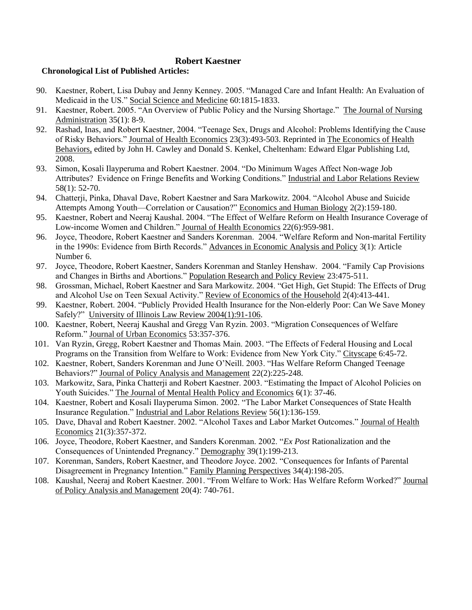- 90. Kaestner, Robert, Lisa Dubay and Jenny Kenney. 2005. "Managed Care and Infant Health: An Evaluation of Medicaid in the US." Social Science and Medicine 60:1815-1833.
- 91. Kaestner, Robert. 2005. "An Overview of Public Policy and the Nursing Shortage." The Journal of Nursing Administration 35(1): 8-9.
- 92. Rashad, Inas, and Robert Kaestner, 2004. "Teenage Sex, Drugs and Alcohol: Problems Identifying the Cause of Risky Behaviors." Journal of Health Economics 23(3):493-503. Reprinted in The Economics of Health Behaviors, edited by John H. Cawley and Donald S. Kenkel, Cheltenham: Edward Elgar Publishing Ltd, 2008.
- 93. Simon, Kosali Ilayperuma and Robert Kaestner. 2004. "Do Minimum Wages Affect Non-wage Job Attributes? Evidence on Fringe Benefits and Working Conditions." Industrial and Labor Relations Review 58(1): 52-70.
- 94. Chatterji, Pinka, Dhaval Dave, Robert Kaestner and Sara Markowitz. 2004. "Alcohol Abuse and Suicide Attempts Among Youth—Correlation or Causation?" Economics and Human Biology 2(2):159-180.
- 95. Kaestner, Robert and Neeraj Kaushal. 2004. "The Effect of Welfare Reform on Health Insurance Coverage of Low-income Women and Children." Journal of Health Economics 22(6):959-981.
- 96. Joyce, Theodore, Robert Kaestner and Sanders Korenman. 2004. "Welfare Reform and Non-marital Fertility in the 1990s: Evidence from Birth Records." Advances in Economic Analysis and Policy 3(1): Article Number 6.
- 97. Joyce, Theodore, Robert Kaestner, Sanders Korenman and Stanley Henshaw. 2004. "Family Cap Provisions and Changes in Births and Abortions." Population Research and Policy Review 23:475-511.
- 98. Grossman, Michael, Robert Kaestner and Sara Markowitz. 2004. "Get High, Get Stupid: The Effects of Drug and Alcohol Use on Teen Sexual Activity." Review of Economics of the Household 2(4):413-441.
- 99. Kaestner, Robert. 2004. "Publicly Provided Health Insurance for the Non-elderly Poor: Can We Save Money Safely?" University of Illinois Law Review 2004(1):91-106.
- 100. Kaestner, Robert, Neeraj Kaushal and Gregg Van Ryzin. 2003. "Migration Consequences of Welfare Reform." Journal of Urban Economics 53:357-376.
- 101. Van Ryzin, Gregg, Robert Kaestner and Thomas Main. 2003. "The Effects of Federal Housing and Local Programs on the Transition from Welfare to Work: Evidence from New York City." Cityscape 6:45-72.
- 102. Kaestner, Robert, Sanders Korenman and June O'Neill. 2003. "Has Welfare Reform Changed Teenage Behaviors?" Journal of Policy Analysis and Management 22(2):225-248.
- 103. Markowitz, Sara, Pinka Chatterji and Robert Kaestner. 2003. "Estimating the Impact of Alcohol Policies on Youth Suicides." The Journal of Mental Health Policy and Economics 6(1): 37-46.
- 104. Kaestner, Robert and Kosali Ilayperuma Simon. 2002. "The Labor Market Consequences of State Health Insurance Regulation." Industrial and Labor Relations Review 56(1):136-159.
- 105. Dave, Dhaval and Robert Kaestner. 2002. "Alcohol Taxes and Labor Market Outcomes." Journal of Health Economics 21(3):357-372.
- 106. Joyce, Theodore, Robert Kaestner, and Sanders Korenman. 2002. "*Ex Post* Rationalization and the Consequences of Unintended Pregnancy." Demography 39(1):199-213.
- 107. Korenman, Sanders, Robert Kaestner, and Theodore Joyce. 2002. "Consequences for Infants of Parental Disagreement in Pregnancy Intention." Family Planning Perspectives 34(4):198-205.
- 108. Kaushal, Neeraj and Robert Kaestner. 2001. "From Welfare to Work: Has Welfare Reform Worked?" Journal of Policy Analysis and Management 20(4): 740-761.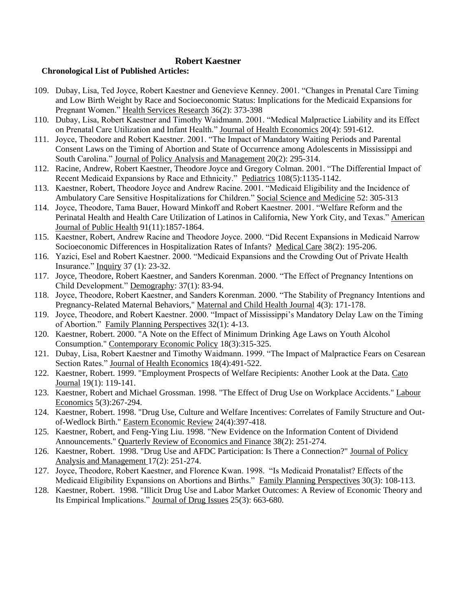- 109. Dubay, Lisa, Ted Joyce, Robert Kaestner and Genevieve Kenney. 2001. "Changes in Prenatal Care Timing and Low Birth Weight by Race and Socioeconomic Status: Implications for the Medicaid Expansions for Pregnant Women." Health Services Research 36(2): 373-398
- 110. Dubay, Lisa, Robert Kaestner and Timothy Waidmann. 2001. "Medical Malpractice Liability and its Effect on Prenatal Care Utilization and Infant Health." Journal of Health Economics 20(4): 591-612.
- 111. Joyce, Theodore and Robert Kaestner. 2001. "The Impact of Mandatory Waiting Periods and Parental Consent Laws on the Timing of Abortion and State of Occurrence among Adolescents in Mississippi and South Carolina." Journal of Policy Analysis and Management 20(2): 295-314.
- 112. Racine, Andrew, Robert Kaestner, Theodore Joyce and Gregory Colman. 2001. "The Differential Impact of Recent Medicaid Expansions by Race and Ethnicity." Pediatrics 108(5):1135-1142.
- 113. Kaestner, Robert, Theodore Joyce and Andrew Racine. 2001. "Medicaid Eligibility and the Incidence of Ambulatory Care Sensitive Hospitalizations for Children." Social Science and Medicine 52: 305-313
- 114. Joyce, Theodore, Tama Bauer, Howard Minkoff and Robert Kaestner. 2001. "Welfare Reform and the Perinatal Health and Health Care Utilization of Latinos in California, New York City, and Texas." American Journal of Public Health 91(11):1857-1864.
- 115. Kaestner, Robert, Andrew Racine and Theodore Joyce. 2000. "Did Recent Expansions in Medicaid Narrow Socioeconomic Differences in Hospitalization Rates of Infants? Medical Care 38(2): 195-206.
- 116. Yazici, Esel and Robert Kaestner. 2000. "Medicaid Expansions and the Crowding Out of Private Health Insurance." Inquiry 37 (1): 23-32.
- 117. Joyce, Theodore, Robert Kaestner, and Sanders Korenman. 2000. "The Effect of Pregnancy Intentions on Child Development." Demography: 37(1): 83-94.
- 118. Joyce, Theodore, Robert Kaestner, and Sanders Korenman. 2000. "The Stability of Pregnancy Intentions and Pregnancy-Related Maternal Behaviors," Maternal and Child Health Journal 4(3): 171-178.
- 119. Joyce, Theodore, and Robert Kaestner. 2000. "Impact of Mississippi's Mandatory Delay Law on the Timing of Abortion." Family Planning Perspectives 32(1): 4-13.
- 120. Kaestner, Robert. 2000. "A Note on the Effect of Minimum Drinking Age Laws on Youth Alcohol Consumption." Contemporary Economic Policy 18(3):315-325.
- 121. Dubay, Lisa, Robert Kaestner and Timothy Waidmann. 1999. "The Impact of Malpractice Fears on Cesarean Section Rates." Journal of Health Economics 18(4):491-522.
- 122. Kaestner, Robert. 1999. "Employment Prospects of Welfare Recipients: Another Look at the Data. Cato Journal 19(1): 119-141.
- 123. Kaestner, Robert and Michael Grossman. 1998. "The Effect of Drug Use on Workplace Accidents." Labour Economics 5(3):267-294.
- 124. Kaestner, Robert. 1998. "Drug Use, Culture and Welfare Incentives: Correlates of Family Structure and Outof-Wedlock Birth." Eastern Economic Review 24(4):397-418.
- 125. Kaestner, Robert, and Feng-Ying Liu. 1998. "New Evidence on the Information Content of Dividend Announcements." Quarterly Review of Economics and Finance 38(2): 251-274.
- 126. Kaestner, Robert. 1998. "Drug Use and AFDC Participation: Is There a Connection?" Journal of Policy Analysis and Management 17(2): 251-274.
- 127. Joyce, Theodore, Robert Kaestner, and Florence Kwan. 1998. "Is Medicaid Pronatalist? Effects of the Medicaid Eligibility Expansions on Abortions and Births." Family Planning Perspectives 30(3): 108-113.
- 128. Kaestner, Robert. 1998. "Illicit Drug Use and Labor Market Outcomes: A Review of Economic Theory and Its Empirical Implications." Journal of Drug Issues 25(3): 663-680.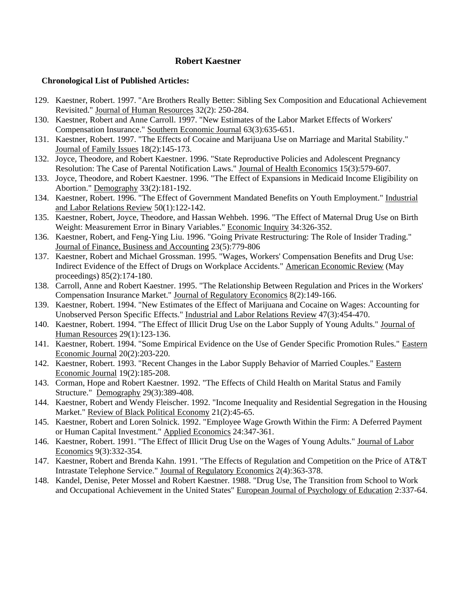- 129. Kaestner, Robert. 1997. "Are Brothers Really Better: Sibling Sex Composition and Educational Achievement Revisited." Journal of Human Resources 32(2): 250-284.
- 130. Kaestner, Robert and Anne Carroll. 1997. "New Estimates of the Labor Market Effects of Workers' Compensation Insurance." Southern Economic Journal 63(3):635-651.
- 131. Kaestner, Robert. 1997. "The Effects of Cocaine and Marijuana Use on Marriage and Marital Stability." Journal of Family Issues 18(2):145-173.
- 132. Joyce, Theodore, and Robert Kaestner. 1996. "State Reproductive Policies and Adolescent Pregnancy Resolution: The Case of Parental Notification Laws." Journal of Health Economics 15(3):579-607.
- 133. Joyce, Theodore, and Robert Kaestner. 1996. "The Effect of Expansions in Medicaid Income Eligibility on Abortion." Demography 33(2):181-192.
- 134. Kaestner, Robert. 1996. "The Effect of Government Mandated Benefits on Youth Employment." Industrial and Labor Relations Review 50(1):122-142.
- 135. Kaestner, Robert, Joyce, Theodore, and Hassan Wehbeh. 1996. "The Effect of Maternal Drug Use on Birth Weight: Measurement Error in Binary Variables." Economic Inquiry 34:326-352.
- 136. Kaestner, Robert, and Feng-Ying Liu. 1996. "Going Private Restructuring: The Role of Insider Trading." Journal of Finance, Business and Accounting 23(5):779-806
- 137. Kaestner, Robert and Michael Grossman. 1995. "Wages, Workers' Compensation Benefits and Drug Use: Indirect Evidence of the Effect of Drugs on Workplace Accidents." American Economic Review (May proceedings) 85(2):174-180.
- 138. Carroll, Anne and Robert Kaestner. 1995. "The Relationship Between Regulation and Prices in the Workers' Compensation Insurance Market." Journal of Regulatory Economics 8(2):149-166.
- 139. Kaestner, Robert. 1994. "New Estimates of the Effect of Marijuana and Cocaine on Wages: Accounting for Unobserved Person Specific Effects." Industrial and Labor Relations Review 47(3):454-470.
- 140. Kaestner, Robert. 1994. "The Effect of Illicit Drug Use on the Labor Supply of Young Adults." Journal of Human Resources 29(1):123-136.
- 141. Kaestner, Robert. 1994. "Some Empirical Evidence on the Use of Gender Specific Promotion Rules." Eastern Economic Journal 20(2):203-220.
- 142. Kaestner, Robert. 1993. "Recent Changes in the Labor Supply Behavior of Married Couples." Eastern Economic Journal 19(2):185-208.
- 143. Corman, Hope and Robert Kaestner. 1992. "The Effects of Child Health on Marital Status and Family Structure." Demography 29(3):389-408.
- 144. Kaestner, Robert and Wendy Fleischer. 1992. "Income Inequality and Residential Segregation in the Housing Market." Review of Black Political Economy 21(2):45-65.
- 145. Kaestner, Robert and Loren Solnick. 1992. "Employee Wage Growth Within the Firm: A Deferred Payment or Human Capital Investment." Applied Economics 24:347-361.
- 146. Kaestner, Robert. 1991. "The Effect of Illicit Drug Use on the Wages of Young Adults." Journal of Labor Economics 9(3):332-354.
- 147. Kaestner, Robert and Brenda Kahn. 1991. "The Effects of Regulation and Competition on the Price of AT&T Intrastate Telephone Service." Journal of Regulatory Economics 2(4):363-378.
- 148. Kandel, Denise, Peter Mossel and Robert Kaestner. 1988. "Drug Use, The Transition from School to Work and Occupational Achievement in the United States" European Journal of Psychology of Education 2:337-64.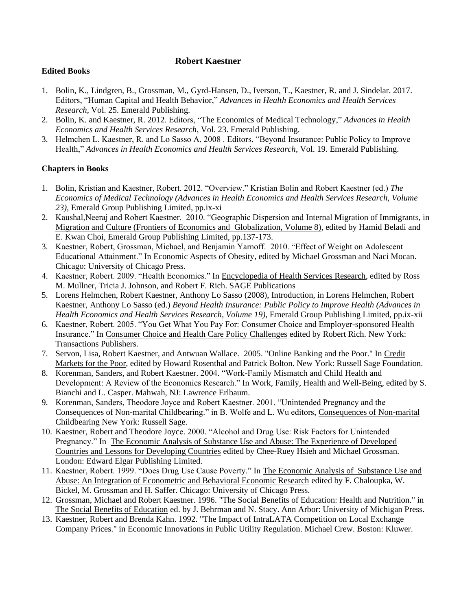# **Edited Books**

- 1. Bolin, K., Lindgren, B., Grossman, M., Gyrd-Hansen, D., Iverson, T., Kaestner, R. and J. Sindelar. 2017. Editors, "Human Capital and Health Behavior," *Advances in Health Economics and Health Services Research*, Vol. 25. Emerald Publishing.
- 2. Bolin, K. and Kaestner, R. 2012. Editors, "The Economics of Medical Technology," *Advances in Health Economics and Health Services Research*, Vol. 23. Emerald Publishing.
- 3. Helmchen L. Kaestner, R. and Lo Sasso A. 2008 . Editors, "Beyond Insurance: Public Policy to Improve Health," *Advances in Health Economics and Health Services Research*, Vol. 19. Emerald Publishing.

# **Chapters in Books**

- 1. Bolin, Kristian and Kaestner, Robert. 2012. "Overview." Kristian Bolin and Robert Kaestner (ed.) *The Economics of Medical Technology (Advances in Health Economics and Health Services Research, Volume 23)*, Emerald Group Publishing Limited, pp.ix-xi
- 2. Kaushal,Neeraj and Robert Kaestner. 2010. "Geographic Dispersion and Internal Migration of Immigrants, in Migration and Culture (Frontiers of Economics and Globalization, Volume 8), edited by Hamid Beladi and E. Kwan Choi, Emerald Group Publishing Limited, pp.137-173.
- 3. Kaestner, Robert, Grossman, Michael, and Benjamin Yarnoff. 2010. "Effect of Weight on Adolescent Educational Attainment." In Economic Aspects of Obesity, edited by Michael Grossman and Naci Mocan. Chicago: University of Chicago Press.
- 4. Kaestner, Robert. 2009. "Health Economics." In Encyclopedia of Health Services Research, edited by Ross M. Mullner, Tricia J. Johnson, and Robert F. Rich. SAGE Publications
- 5. Lorens Helmchen, Robert Kaestner, Anthony Lo Sasso (2008), Introduction, in Lorens Helmchen, Robert Kaestner, Anthony Lo Sasso (ed.) *Beyond Health Insurance: Public Policy to Improve Health (Advances in Health Economics and Health Services Research, Volume 19)*, Emerald Group Publishing Limited, pp.ix-xii
- 6. Kaestner, Robert. 2005. "You Get What You Pay For: Consumer Choice and Employer-sponsored Health Insurance." In Consumer Choice and Health Care Policy Challenges edited by Robert Rich. New York: Transactions Publishers.
- 7. Servon, Lisa, Robert Kaestner, and Antwuan Wallace. 2005. "Online Banking and the Poor." In Credit Markets for the Poor, edited by Howard Rosenthal and Patrick Bolton. New York: Russell Sage Foundation.
- 8. Korenman, Sanders, and Robert Kaestner. 2004. "Work-Family Mismatch and Child Health and Development: A Review of the Economics Research." In Work, Family, Health and Well-Being, edited by S. Bianchi and L. Casper. Mahwah, NJ: Lawrence Erlbaum.
- 9. Korenman, Sanders, Theodore Joyce and Robert Kaestner. 2001. "Unintended Pregnancy and the Consequences of Non-marital Childbearing." in B. Wolfe and L. Wu editors, Consequences of Non-marital Childbearing New York: Russell Sage.
- 10. Kaestner, Robert and Theodore Joyce. 2000. "Alcohol and Drug Use: Risk Factors for Unintended Pregnancy." In The Economic Analysis of Substance Use and Abuse: The Experience of Developed Countries and Lessons for Developing Countries edited by Chee-Ruey Hsieh and Michael Grossman. London: Edward Elgar Publishing Limited.
- 11. Kaestner, Robert. 1999. "Does Drug Use Cause Poverty." In The Economic Analysis of Substance Use and Abuse: An Integration of Econometric and Behavioral Economic Research edited by F. Chaloupka, W. Bickel, M. Grossman and H. Saffer. Chicago: University of Chicago Press.
- 12. Grossman, Michael and Robert Kaestner. 1996. "The Social Benefits of Education: Health and Nutrition." in The Social Benefits of Education ed. by J. Behrman and N. Stacy. Ann Arbor: University of Michigan Press.
- 13. Kaestner, Robert and Brenda Kahn. 1992. "The Impact of IntraLATA Competition on Local Exchange Company Prices." in Economic Innovations in Public Utility Regulation. Michael Crew. Boston: Kluwer.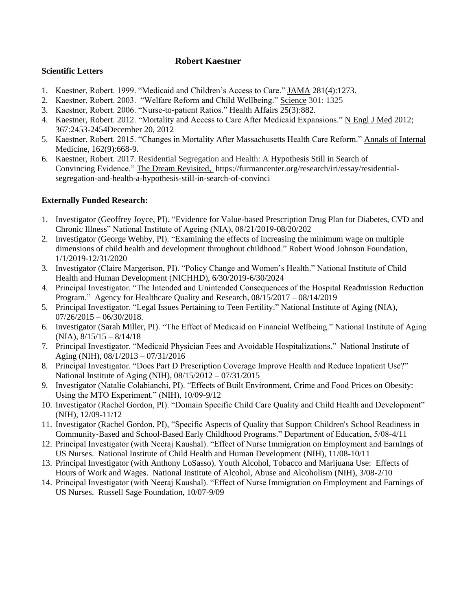### **Scientific Letters**

- 1. Kaestner, Robert. 1999. "Medicaid and Children's Access to Care." JAMA 281(4):1273.
- 2. Kaestner, Robert. 2003. "Welfare Reform and Child Wellbeing." Science 301: 1325
- 3. Kaestner, Robert. 2006. "Nurse-to-patient Ratios." Health Affairs 25(3):882.
- 4. Kaestner, Robert. 2012. "Mortality and Access to Care After Medicaid Expansions." N Engl J Med 2012; 367:2453-245[4December](http://www.nejm.org/toc/nejm/367/25/) 20, 2012
- 5. Kaestner, Robert. 2015. "Changes in Mortality After Massachusetts Health Care Reform." Annals of Internal Medicine, 162(9):668-9.
- 6. Kaestner, Robert. 2017. Residential Segregation and Health: A Hypothesis Still in Search of Convincing Evidence." The Dream Revisited, [https://furmancenter.org/research/iri/essay/residential](https://furmancenter.org/research/iri/essay/residential-segregation-and-health-a-hypothesis-still-in-search-of-convinci)[segregation-and-health-a-hypothesis-still-in-search-of-convinci](https://furmancenter.org/research/iri/essay/residential-segregation-and-health-a-hypothesis-still-in-search-of-convinci)

# **Externally Funded Research:**

- 1. Investigator (Geoffrey Joyce, PI). "Evidence for Value-based Prescription Drug Plan for Diabetes, CVD and Chronic Illness" National Institute of Ageing (NIA), 08/21/2019-08/20/202
- 2. Investigator (George Wehby, PI). ["Examining the effects of increasing the minimum wage on multiple](https://auragrnt8-prd.uchicago.edu/Grants/sd/Rooms/DisplayPages/LayoutInitial?Container=com.webridge.entity.Entity%5bOID%5b90D8E75DA19FF94EB309C2DF9FA3554F%5d%5d)  [dimensions of child health and development throughout childhood.](https://auragrnt8-prd.uchicago.edu/Grants/sd/Rooms/DisplayPages/LayoutInitial?Container=com.webridge.entity.Entity%5bOID%5b90D8E75DA19FF94EB309C2DF9FA3554F%5d%5d)" Robert Wood Johnson Foundation, 1/1/2019-12/31/2020
- 3. Investigator (Claire Margerison, PI). "Policy Change and Women's Health." National Institute of Child Health and Human Development (NICHHD), 6/30/2019-6/30/2024
- 4. Principal Investigator. "The Intended and Unintended Consequences of the Hospital Readmission Reduction Program." Agency for Healthcare Quality and Research, 08/15/2017 – 08/14/2019
- 5. Principal Investigator. "Legal Issues Pertaining to Teen Fertility." National Institute of Aging (NIA),  $07/26/2015 - 06/30/2018$ .
- 6. Investigator (Sarah Miller, PI). "The Effect of Medicaid on Financial Wellbeing." National Institute of Aging  $(NIA), \frac{8}{15}/15 - \frac{8}{14}/18$
- 7. Principal Investigator. "Medicaid Physician Fees and Avoidable Hospitalizations." National Institute of Aging (NIH), 08/1/2013 – 07/31/2016
- 8. Principal Investigator. "Does Part D Prescription Coverage Improve Health and Reduce Inpatient Use?" National Institute of Aging (NIH), 08/15/2012 – 07/31/2015
- 9. Investigator (Natalie Colabianchi, PI). "Effects of Built Environment, Crime and Food Prices on Obesity: Using the MTO Experiment." (NIH), 10/09-9/12
- 10. Investigator (Rachel Gordon, PI). "Domain Specific Child Care Quality and Child Health and Development" (NIH), 12/09-11/12
- 11. Investigator (Rachel Gordon, PI), "Specific Aspects of Quality that Support Children's School Readiness in Community-Based and School-Based Early Childhood Programs." Department of Education, 5/08-4/11
- 12. Principal Investigator (with Neeraj Kaushal). "Effect of Nurse Immigration on Employment and Earnings of US Nurses. National Institute of Child Health and Human Development (NIH), 11/08-10/11
- 13. Principal Investigator (with Anthony LoSasso). Youth Alcohol, Tobacco and Marijuana Use: Effects of Hours of Work and Wages. National Institute of Alcohol, Abuse and Alcoholism (NIH), 3/08-2/10
- 14. Principal Investigator (with Neeraj Kaushal). "Effect of Nurse Immigration on Employment and Earnings of US Nurses. Russell Sage Foundation, 10/07-9/09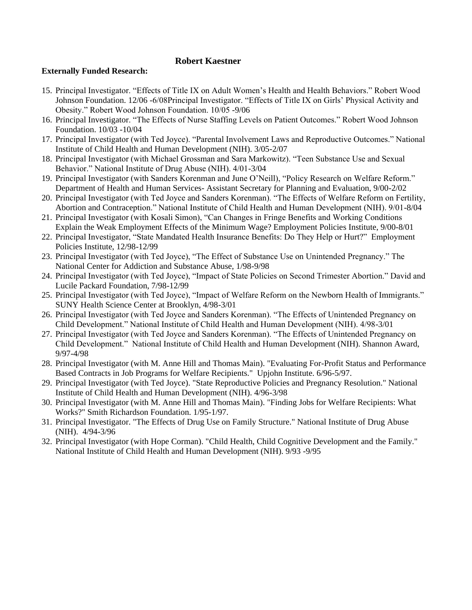### **Externally Funded Research:**

- 15. Principal Investigator. "Effects of Title IX on Adult Women's Health and Health Behaviors." Robert Wood Johnson Foundation. 12/06 -6/08Principal Investigator. "Effects of Title IX on Girls' Physical Activity and Obesity." Robert Wood Johnson Foundation. 10/05 -9/06
- 16. Principal Investigator. "The Effects of Nurse Staffing Levels on Patient Outcomes." Robert Wood Johnson Foundation. 10/03 -10/04
- 17. Principal Investigator (with Ted Joyce). "Parental Involvement Laws and Reproductive Outcomes." National Institute of Child Health and Human Development (NIH). 3/05-2/07
- 18. Principal Investigator (with Michael Grossman and Sara Markowitz). "Teen Substance Use and Sexual Behavior." National Institute of Drug Abuse (NIH). 4/01-3/04
- 19. Principal Investigator (with Sanders Korenman and June O'Neill), "Policy Research on Welfare Reform." Department of Health and Human Services- Assistant Secretary for Planning and Evaluation, 9/00-2/02
- 20. Principal Investigator (with Ted Joyce and Sanders Korenman). "The Effects of Welfare Reform on Fertility, Abortion and Contraception." National Institute of Child Health and Human Development (NIH). 9/01-8/04
- 21. Principal Investigator (with Kosali Simon), "Can Changes in Fringe Benefits and Working Conditions Explain the Weak Employment Effects of the Minimum Wage? Employment Policies Institute, 9/00-8/01
- 22. Principal Investigator, "State Mandated Health Insurance Benefits: Do They Help or Hurt?" Employment Policies Institute, 12/98-12/99
- 23. Principal Investigator (with Ted Joyce), "The Effect of Substance Use on Unintended Pregnancy." The National Center for Addiction and Substance Abuse, 1/98-9/98
- 24. Principal Investigator (with Ted Joyce), "Impact of State Policies on Second Trimester Abortion." David and Lucile Packard Foundation, 7/98-12/99
- 25. Principal Investigator (with Ted Joyce), "Impact of Welfare Reform on the Newborn Health of Immigrants." SUNY Health Science Center at Brooklyn, 4/98-3/01
- 26. Principal Investigator (with Ted Joyce and Sanders Korenman). "The Effects of Unintended Pregnancy on Child Development." National Institute of Child Health and Human Development (NIH). 4/98-3/01
- 27. Principal Investigator (with Ted Joyce and Sanders Korenman). "The Effects of Unintended Pregnancy on Child Development." National Institute of Child Health and Human Development (NIH). Shannon Award, 9/97-4/98
- 28. Principal Investigator (with M. Anne Hill and Thomas Main). "Evaluating For-Profit Status and Performance Based Contracts in Job Programs for Welfare Recipients." Upjohn Institute. 6/96-5/97.
- 29. Principal Investigator (with Ted Joyce). "State Reproductive Policies and Pregnancy Resolution." National Institute of Child Health and Human Development (NIH). 4/96-3/98
- 30. Principal Investigator (with M. Anne Hill and Thomas Main). "Finding Jobs for Welfare Recipients: What Works?" Smith Richardson Foundation. 1/95-1/97.
- 31. Principal Investigator. "The Effects of Drug Use on Family Structure." National Institute of Drug Abuse (NIH). 4/94-3/96
- 32. Principal Investigator (with Hope Corman). "Child Health, Child Cognitive Development and the Family." National Institute of Child Health and Human Development (NIH). 9/93 -9/95